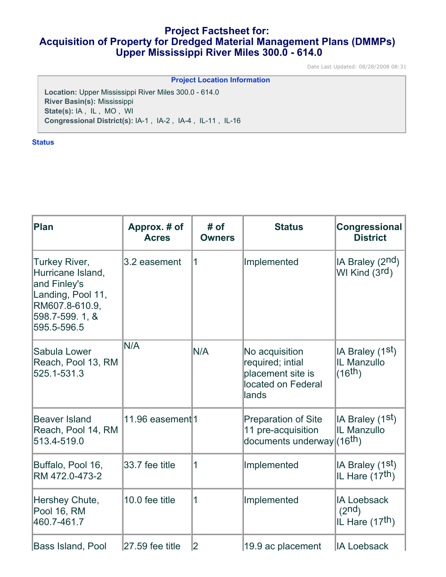# **Project Factsheet for: Acquisition of Property for Dredged Material Management Plans (DMMPs) Upper Mississippi River Miles 300.0 - 614.0**

Date Last Updated: 08/28/2008 08:31

| <b>Project Location Information</b>                          |  |  |  |  |  |
|--------------------------------------------------------------|--|--|--|--|--|
| <b>Location: Upper Mississippi River Miles 300.0 - 614.0</b> |  |  |  |  |  |
| River Basin(s): Mississippi                                  |  |  |  |  |  |
| State(s): IA, IL, MO, WI                                     |  |  |  |  |  |
| Congressional District(s): IA-1, IA-2, IA-4, IL-11, IL-16    |  |  |  |  |  |
|                                                              |  |  |  |  |  |

# **Status**

| Plan                                                                                                                       | Approx. # of<br><b>Acres</b> | # of<br><b>Owners</b> | <b>Status</b>                                                                              | <b>Congressional</b><br><b>District</b>                                 |
|----------------------------------------------------------------------------------------------------------------------------|------------------------------|-----------------------|--------------------------------------------------------------------------------------------|-------------------------------------------------------------------------|
| Turkey River,<br>Hurricane Island,<br>and Finley's<br>Landing, Pool 11,<br>RM607.8-610.9,<br>598.7-599.1, &<br>595.5-596.5 | 3.2 easement                 | 1                     | Implemented                                                                                | IA Braley (2 <sup>nd</sup> )<br>WI Kind $(3rd)$                         |
| Sabula Lower<br>Reach, Pool 13, RM<br>525.1-531.3                                                                          | N/A                          | N/A                   | No acquisition<br>required; intial<br>placement site is<br>located on Federal<br>lands     | IA Braley (1 <sup>st</sup> )<br>IL Manzullo<br>(16th)                   |
| Beaver Island<br>Reach, Pool 14, RM<br>513.4-519.0                                                                         | 11.96 easement <sup>1</sup>  |                       | <b>Preparation of Site</b><br>11 pre-acquisition<br>documents underway (16 <sup>th</sup> ) | IA Braley (1 <sup>st</sup> )<br>IL Manzullo                             |
| Buffalo, Pool 16,<br>RM 472.0-473-2                                                                                        | 33.7 fee title               | 1                     | Implemented                                                                                | IA Braley (1 <sup>st</sup> )<br>IL Hare $(17th)$                        |
| Hershey Chute,<br>Pool 16, RM<br>460.7-461.7                                                                               | 10.0 fee title               | 1                     | Implemented                                                                                | <b>IA Loebsack</b><br>(2 <sup>nd</sup> )<br>IL Hare (17 <sup>th</sup> ) |
| <b>Bass Island, Pool</b>                                                                                                   | 27.59 fee title              | 2                     | 19.9 ac placement                                                                          | <b>IA Loebsack</b>                                                      |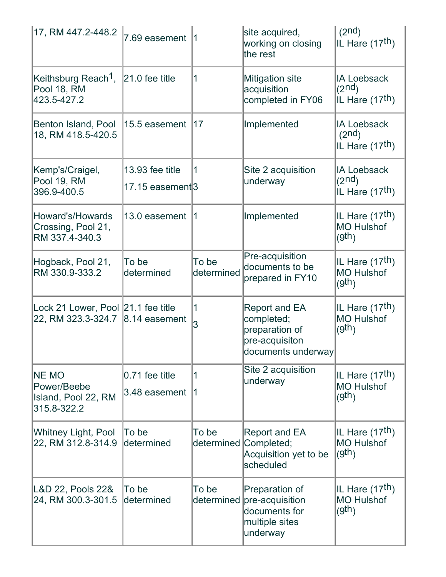| 17, RM 447.2-448.2                                                     | 7.69 easement                       | 11                  | site acquired,<br>working on closing<br>the rest                                             | (2 <sup>nd</sup> )<br>IL Hare (17 <sup>th</sup> )                       |
|------------------------------------------------------------------------|-------------------------------------|---------------------|----------------------------------------------------------------------------------------------|-------------------------------------------------------------------------|
| Keithsburg Reach <sup>1</sup> ,<br>Pool 18, RM<br>423.5-427.2          | $ 21.0 \text{ fee}$ title           | 1                   | <b>Mitigation site</b><br>acquisition<br>completed in FY06                                   | <b>IA Loebsack</b><br>(2 <sup>nd</sup> )<br>IL Hare (17 <sup>th</sup> ) |
| Benton Island, Pool<br>18, RM 418.5-420.5                              | 15.5 easement                       | 17                  | Implemented                                                                                  | <b>IA Loebsack</b><br>(2 <sup>nd</sup> )<br>IL Hare (17 <sup>th</sup> ) |
| Kemp's/Craigel,<br>Pool 19, RM<br>396.9-400.5                          | 13.93 fee title<br>17.15 easement 3 | $\mathbf 1$         | Site 2 acquisition<br>underway                                                               | <b>IA Loebsack</b><br>(2 <sup>nd</sup> )<br>IL Hare (17 <sup>th</sup> ) |
| Howard's/Howards<br>Crossing, Pool 21,<br>RM 337.4-340.3               | 13.0 easement                       | $\vert$ 1           | Implemented                                                                                  | IL Hare (17 <sup>th</sup> )<br><b>MO Hulshof</b><br>(9th)               |
| Hogback, Pool 21,<br>RM 330.9-333.2                                    | To be<br>determined                 | To be<br>determined | Pre-acquisition<br>documents to be<br>prepared in FY10                                       | IL Hare (17 <sup>th</sup> )<br><b>MO Hulshof</b><br>(9th)               |
| Lock 21 Lower, Pool 21.1 fee title<br>22, RM 323.3-324.7 8.14 easement |                                     | $\mathbf{1}$<br>3   | <b>Report and EA</b><br>completed;<br>preparation of<br>pre-acquisiton<br>documents underway | IL Hare (17 <sup>th</sup> )<br><b>MO Hulshof</b><br>(9th)               |
| <b>NE MO</b><br>Power/Beebe<br>Island, Pool 22, RM<br>315.8-322.2      | 0.71 fee title<br>3.48 easement     | $\mathbf{1}$<br>1   | Site 2 acquisition<br>underway                                                               | IL Hare (17 <sup>th</sup> )<br><b>MO Hulshof</b><br>(9th)               |
| <b>Whitney Light, Pool</b><br>22, RM 312.8-314.9                       | To be<br>determined                 | To be               | Report and EA<br>determined Completed;<br>Acquisition yet to be<br>scheduled                 | IL Hare (17 <sup>th</sup> )<br><b>MO Hulshof</b><br>(gth)               |
| L&D 22, Pools 22&<br>24, RM 300.3-301.5                                | To be<br>determined                 | To be<br>determined | Preparation of<br>pre-acquisition<br>documents for<br>multiple sites<br>underway             | IL Hare (17 <sup>th</sup> )<br><b>MO Hulshof</b><br>(9th)               |